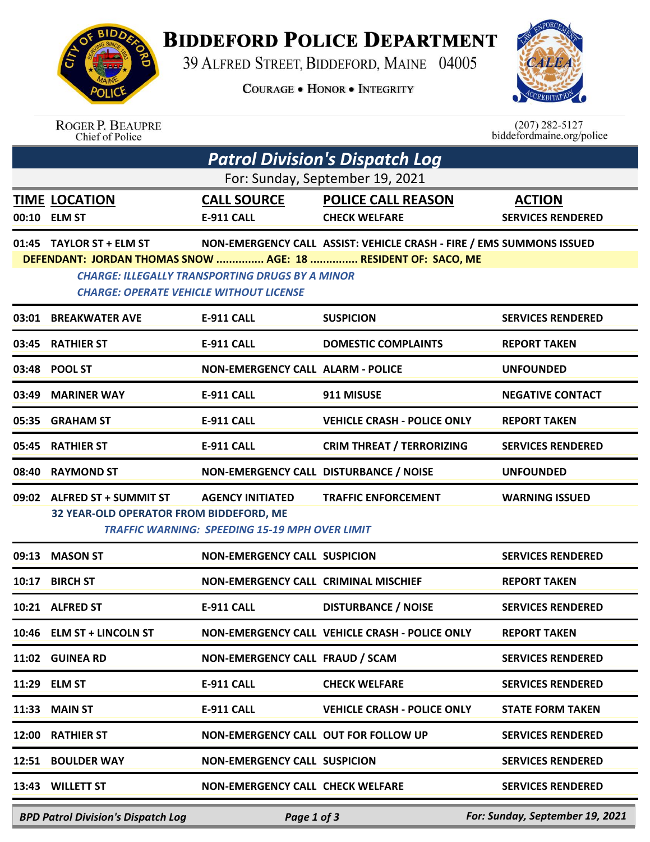

## **BIDDEFORD POLICE DEPARTMENT**

39 ALFRED STREET, BIDDEFORD, MAINE 04005

**COURAGE . HONOR . INTEGRITY** 



|                                                                                                                         | <b>ROGER P. BEAUPRE</b><br>Chief of Police                                                       |                                          |                                                | $(207)$ 282-5127<br>biddefordmaine.org/police |  |  |  |  |  |
|-------------------------------------------------------------------------------------------------------------------------|--------------------------------------------------------------------------------------------------|------------------------------------------|------------------------------------------------|-----------------------------------------------|--|--|--|--|--|
|                                                                                                                         | <b>Patrol Division's Dispatch Log</b>                                                            |                                          |                                                |                                               |  |  |  |  |  |
| For: Sunday, September 19, 2021                                                                                         |                                                                                                  |                                          |                                                |                                               |  |  |  |  |  |
|                                                                                                                         | <b>TIME LOCATION</b>                                                                             | <b>CALL SOURCE</b>                       | <b>POLICE CALL REASON</b>                      | <b>ACTION</b>                                 |  |  |  |  |  |
|                                                                                                                         | 00:10 ELM ST                                                                                     | E-911 CALL                               | <b>CHECK WELFARE</b>                           | <b>SERVICES RENDERED</b>                      |  |  |  |  |  |
|                                                                                                                         | 01:45 TAYLOR ST + ELM ST<br>NON-EMERGENCY CALL ASSIST: VEHICLE CRASH - FIRE / EMS SUMMONS ISSUED |                                          |                                                |                                               |  |  |  |  |  |
| DEFENDANT: JORDAN THOMAS SNOW  AGE: 18  RESIDENT OF: SACO, ME<br><b>CHARGE: ILLEGALLY TRANSPORTING DRUGS BY A MINOR</b> |                                                                                                  |                                          |                                                |                                               |  |  |  |  |  |
| <b>CHARGE: OPERATE VEHICLE WITHOUT LICENSE</b>                                                                          |                                                                                                  |                                          |                                                |                                               |  |  |  |  |  |
|                                                                                                                         | 03:01 BREAKWATER AVE                                                                             | <b>E-911 CALL</b>                        | <b>SUSPICION</b>                               | <b>SERVICES RENDERED</b>                      |  |  |  |  |  |
| 03:45                                                                                                                   | <b>RATHIER ST</b>                                                                                | <b>E-911 CALL</b>                        | <b>DOMESTIC COMPLAINTS</b>                     | <b>REPORT TAKEN</b>                           |  |  |  |  |  |
|                                                                                                                         | 03:48 POOL ST                                                                                    | <b>NON-EMERGENCY CALL ALARM - POLICE</b> |                                                | <b>UNFOUNDED</b>                              |  |  |  |  |  |
| 03:49                                                                                                                   | <b>MARINER WAY</b>                                                                               | <b>E-911 CALL</b>                        | 911 MISUSE                                     | <b>NEGATIVE CONTACT</b>                       |  |  |  |  |  |
| 05:35                                                                                                                   | <b>GRAHAM ST</b>                                                                                 | <b>E-911 CALL</b>                        | <b>VEHICLE CRASH - POLICE ONLY</b>             | <b>REPORT TAKEN</b>                           |  |  |  |  |  |
| 05:45                                                                                                                   | <b>RATHIER ST</b>                                                                                | E-911 CALL                               | <b>CRIM THREAT / TERRORIZING</b>               | <b>SERVICES RENDERED</b>                      |  |  |  |  |  |
| 08:40                                                                                                                   | <b>RAYMOND ST</b>                                                                                | NON-EMERGENCY CALL DISTURBANCE / NOISE   |                                                | <b>UNFOUNDED</b>                              |  |  |  |  |  |
|                                                                                                                         | 09:02 ALFRED ST + SUMMIT ST                                                                      | <b>AGENCY INITIATED</b>                  | <b>TRAFFIC ENFORCEMENT</b>                     | <b>WARNING ISSUED</b>                         |  |  |  |  |  |
|                                                                                                                         | 32 YEAR-OLD OPERATOR FROM BIDDEFORD, ME<br><b>TRAFFIC WARNING: SPEEDING 15-19 MPH OVER LIMIT</b> |                                          |                                                |                                               |  |  |  |  |  |
| 09:13                                                                                                                   | <b>MASON ST</b>                                                                                  | <b>NON-EMERGENCY CALL SUSPICION</b>      |                                                | <b>SERVICES RENDERED</b>                      |  |  |  |  |  |
|                                                                                                                         | 10:17 BIRCH ST                                                                                   | NON-EMERGENCY CALL CRIMINAL MISCHIEF     |                                                | <b>REPORT TAKEN</b>                           |  |  |  |  |  |
|                                                                                                                         | 10:21 ALFRED ST                                                                                  | <b>E-911 CALL</b>                        | <b>DISTURBANCE / NOISE</b>                     | <b>SERVICES RENDERED</b>                      |  |  |  |  |  |
|                                                                                                                         | 10:46 ELM ST + LINCOLN ST                                                                        |                                          | NON-EMERGENCY CALL VEHICLE CRASH - POLICE ONLY | <b>REPORT TAKEN</b>                           |  |  |  |  |  |
|                                                                                                                         | 11:02 GUINEA RD                                                                                  | NON-EMERGENCY CALL FRAUD / SCAM          |                                                | <b>SERVICES RENDERED</b>                      |  |  |  |  |  |
|                                                                                                                         | 11:29 ELM ST                                                                                     | <b>E-911 CALL</b>                        | <b>CHECK WELFARE</b>                           | <b>SERVICES RENDERED</b>                      |  |  |  |  |  |
|                                                                                                                         | <b>11:33 MAIN ST</b>                                                                             | <b>E-911 CALL</b>                        | <b>VEHICLE CRASH - POLICE ONLY</b>             | <b>STATE FORM TAKEN</b>                       |  |  |  |  |  |
|                                                                                                                         | 12:00 RATHIER ST                                                                                 | NON-EMERGENCY CALL OUT FOR FOLLOW UP     |                                                | <b>SERVICES RENDERED</b>                      |  |  |  |  |  |
|                                                                                                                         | 12:51 BOULDER WAY                                                                                | <b>NON-EMERGENCY CALL SUSPICION</b>      |                                                | <b>SERVICES RENDERED</b>                      |  |  |  |  |  |
|                                                                                                                         | 13:43 WILLETT ST                                                                                 | <b>NON-EMERGENCY CALL CHECK WELFARE</b>  |                                                | <b>SERVICES RENDERED</b>                      |  |  |  |  |  |
|                                                                                                                         | RDD Datrol Division's Dispatch Log                                                               | $D_{QQ}$ 1 of 2                          |                                                | <b>Ear: Sunday, Sentember 19, 2021</b>        |  |  |  |  |  |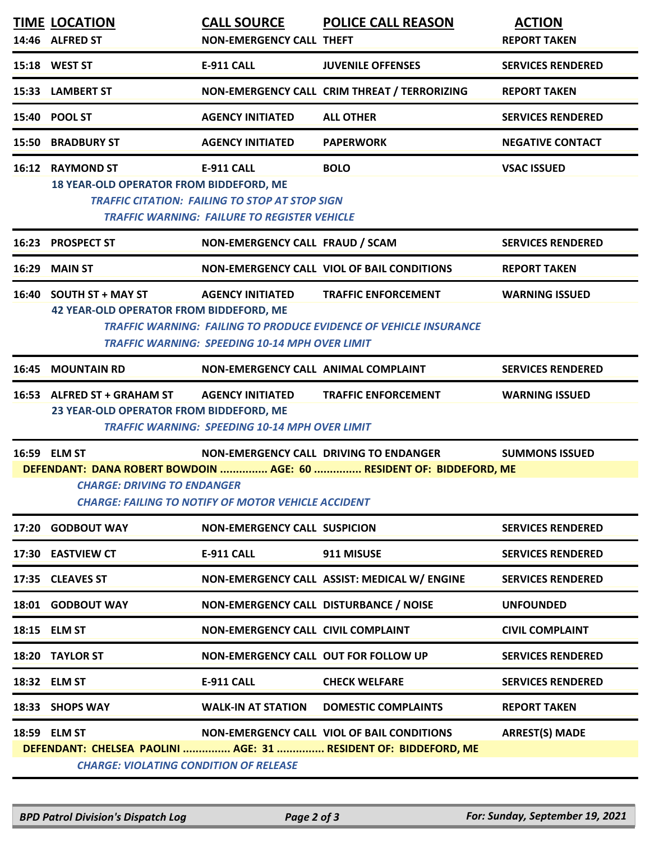|                                                                                                                                                                         | <b>TIME LOCATION</b>                                                                    | <b>CALL SOURCE</b>                                                                                                                | <b>POLICE CALL REASON</b>                                                                                     | <b>ACTION</b>            |  |  |  |
|-------------------------------------------------------------------------------------------------------------------------------------------------------------------------|-----------------------------------------------------------------------------------------|-----------------------------------------------------------------------------------------------------------------------------------|---------------------------------------------------------------------------------------------------------------|--------------------------|--|--|--|
|                                                                                                                                                                         | 14:46 ALFRED ST                                                                         | <b>NON-EMERGENCY CALL THEFT</b>                                                                                                   |                                                                                                               | <b>REPORT TAKEN</b>      |  |  |  |
|                                                                                                                                                                         | 15:18 WEST ST                                                                           | <b>E-911 CALL</b>                                                                                                                 | <b>JUVENILE OFFENSES</b>                                                                                      | <b>SERVICES RENDERED</b> |  |  |  |
|                                                                                                                                                                         | 15:33 LAMBERT ST                                                                        |                                                                                                                                   | NON-EMERGENCY CALL CRIM THREAT / TERRORIZING                                                                  | <b>REPORT TAKEN</b>      |  |  |  |
|                                                                                                                                                                         | 15:40 POOL ST                                                                           | <b>AGENCY INITIATED</b>                                                                                                           | <b>ALL OTHER</b>                                                                                              | <b>SERVICES RENDERED</b> |  |  |  |
|                                                                                                                                                                         | <b>15:50 BRADBURY ST</b>                                                                | <b>AGENCY INITIATED</b>                                                                                                           | <b>PAPERWORK</b>                                                                                              | <b>NEGATIVE CONTACT</b>  |  |  |  |
|                                                                                                                                                                         | 16:12 RAYMOND ST<br>18 YEAR-OLD OPERATOR FROM BIDDEFORD, ME                             | <b>E-911 CALL</b><br><b>TRAFFIC CITATION: FAILING TO STOP AT STOP SIGN</b><br><b>TRAFFIC WARNING: FAILURE TO REGISTER VEHICLE</b> | <b>BOLO</b>                                                                                                   | <b>VSAC ISSUED</b>       |  |  |  |
|                                                                                                                                                                         | 16:23 PROSPECT ST                                                                       | NON-EMERGENCY CALL FRAUD / SCAM                                                                                                   |                                                                                                               | <b>SERVICES RENDERED</b> |  |  |  |
|                                                                                                                                                                         | 16:29 MAIN ST                                                                           |                                                                                                                                   | NON-EMERGENCY CALL VIOL OF BAIL CONDITIONS                                                                    | <b>REPORT TAKEN</b>      |  |  |  |
|                                                                                                                                                                         | 16:40 SOUTH ST + MAY ST<br>42 YEAR-OLD OPERATOR FROM BIDDEFORD, ME                      | <b>AGENCY INITIATED</b><br>TRAFFIC WARNING: SPEEDING 10-14 MPH OVER LIMIT                                                         | <b>TRAFFIC ENFORCEMENT</b><br><b>TRAFFIC WARNING: FAILING TO PRODUCE EVIDENCE OF VEHICLE INSURANCE</b>        | <b>WARNING ISSUED</b>    |  |  |  |
| 16:45                                                                                                                                                                   | <b>MOUNTAIN RD</b>                                                                      | NON-EMERGENCY CALL ANIMAL COMPLAINT                                                                                               |                                                                                                               | <b>SERVICES RENDERED</b> |  |  |  |
|                                                                                                                                                                         | 16:53 ALFRED ST + GRAHAM ST AGENCY INITIATED<br>23 YEAR-OLD OPERATOR FROM BIDDEFORD, ME | <b>TRAFFIC WARNING: SPEEDING 10-14 MPH OVER LIMIT</b>                                                                             | <b>TRAFFIC ENFORCEMENT</b>                                                                                    | <b>WARNING ISSUED</b>    |  |  |  |
|                                                                                                                                                                         | 16:59 ELM ST                                                                            |                                                                                                                                   | NON-EMERGENCY CALL DRIVING TO ENDANGER                                                                        | <b>SUMMONS ISSUED</b>    |  |  |  |
| DEFENDANT: DANA ROBERT BOWDOIN  AGE: 60  RESIDENT OF: BIDDEFORD, ME<br><b>CHARGE: DRIVING TO ENDANGER</b><br><b>CHARGE: FAILING TO NOTIFY OF MOTOR VEHICLE ACCIDENT</b> |                                                                                         |                                                                                                                                   |                                                                                                               |                          |  |  |  |
|                                                                                                                                                                         | 17:20 GODBOUT WAY                                                                       | <b>NON-EMERGENCY CALL SUSPICION</b>                                                                                               |                                                                                                               | <b>SERVICES RENDERED</b> |  |  |  |
|                                                                                                                                                                         | 17:30 EASTVIEW CT                                                                       | E-911 CALL                                                                                                                        | 911 MISUSE                                                                                                    | <b>SERVICES RENDERED</b> |  |  |  |
|                                                                                                                                                                         | 17:35 CLEAVES ST                                                                        |                                                                                                                                   | NON-EMERGENCY CALL ASSIST: MEDICAL W/ ENGINE                                                                  | <b>SERVICES RENDERED</b> |  |  |  |
|                                                                                                                                                                         | 18:01 GODBOUT WAY                                                                       | NON-EMERGENCY CALL DISTURBANCE / NOISE                                                                                            |                                                                                                               | <b>UNFOUNDED</b>         |  |  |  |
|                                                                                                                                                                         | 18:15 ELM ST                                                                            | NON-EMERGENCY CALL CIVIL COMPLAINT                                                                                                |                                                                                                               | <b>CIVIL COMPLAINT</b>   |  |  |  |
|                                                                                                                                                                         | 18:20 TAYLOR ST                                                                         | NON-EMERGENCY CALL OUT FOR FOLLOW UP                                                                                              |                                                                                                               | <b>SERVICES RENDERED</b> |  |  |  |
|                                                                                                                                                                         | 18:32 ELM ST                                                                            | E-911 CALL                                                                                                                        | <b>CHECK WELFARE</b>                                                                                          | <b>SERVICES RENDERED</b> |  |  |  |
|                                                                                                                                                                         | 18:33 SHOPS WAY                                                                         | <b>WALK-IN AT STATION</b>                                                                                                         | <b>DOMESTIC COMPLAINTS</b>                                                                                    | <b>REPORT TAKEN</b>      |  |  |  |
|                                                                                                                                                                         | 18:59 ELM ST<br><b>CHARGE: VIOLATING CONDITION OF RELEASE</b>                           |                                                                                                                                   | NON-EMERGENCY CALL VIOL OF BAIL CONDITIONS<br>DEFENDANT: CHELSEA PAOLINI  AGE: 31  RESIDENT OF: BIDDEFORD, ME | <b>ARREST(S) MADE</b>    |  |  |  |